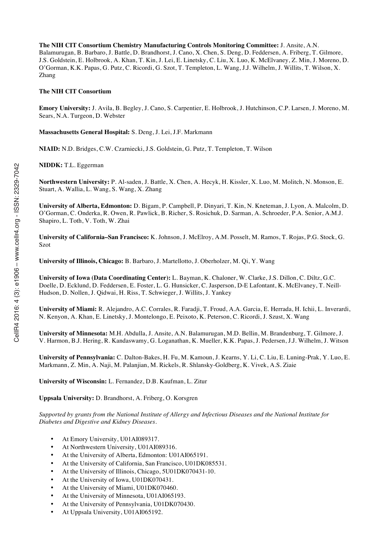**The NIH CIT Consortium Chemistry Manufacturing Controls Monitoring Committee:** J. Ansite, A.N. Balamurugan, B. Barbaro, J. Battle, D. Brandhorst, J. Cano, X. Chen, S. Deng, D. Feddersen, A. Friberg, T. Gilmore, J.S. Goldstein, E. Holbrook, A. Khan, T. Kin, J. Lei, E. Linetsky, C. Liu, X. Luo, K. McElvaney, Z. Min, J. Moreno, D. O'Gorman, K.K. Papas, G. Putz, C. Ricordi, G. Szot, T. Templeton, L. Wang, J.J. Wilhelm, J. Willits, T. Wilson, X. Zhang

## **The NIH CIT Consortium**

**Emory University:** J. Avila, B. Begley, J. Cano, S. Carpentier, E. Holbrook, J. Hutchinson, C.P. Larsen, J. Moreno, M. Sears, N.A. Turgeon, D. Webster

**Massachusetts General Hospital:** S. Deng, J. Lei, J.F. Markmann

**NIAID:** N.D. Bridges, C.W. Czarniecki, J.S. Goldstein, G. Putz, T. Templeton, T. Wilson

**NIDDK:** T.L. Eggerman

**Northwestern University:** P. Al-saden, J. Battle, X. Chen, A. Hecyk, H. Kissler, X. Luo, M. Molitch, N. Monson, E. Stuart, A. Wallia, L. Wang, S. Wang, X. Zhang

**University of Alberta, Edmonton:** D. Bigam, P. Campbell, P. Dinyari, T. Kin, N. Kneteman, J. Lyon, A. Malcolm, D. O'Gorman, C. Onderka, R. Owen, R. Pawlick, B. Richer, S. Rosichuk, D. Sarman, A. Schroeder, P.A. Senior, A.M.J. Shapiro, L. Toth, V. Toth, W. Zhai

**University of California–San Francisco:** K. Johnson, J. McElroy, A.M. Posselt, M. Ramos, T. Rojas, P.G. Stock, G. Szot

**University of Illinois, Chicago:** B. Barbaro, J. Martellotto, J. Oberholzer, M. Qi, Y. Wang

**University of Iowa (Data Coordinating Center):** L. Bayman, K. Chaloner, W. Clarke, J.S. Dillon, C. Diltz, G.C. Doelle, D. Ecklund, D. Feddersen, E. Foster, L. G. Hunsicker, C. Jasperson, D-E Lafontant, K. McElvaney, T. Neill-Hudson, D. Nollen, J. Qidwai, H. Riss, T. Schwieger, J. Willits, J. Yankey

**University of Miami:** R. Alejandro, A.C. Corrales, R. Faradji, T. Froud, A.A. Garcia, E. Herrada, H. Ichii, L. Inverardi, N. Kenyon, A. Khan, E. Linetsky, J. Montelongo, E. Peixoto, K. Peterson, C. Ricordi, J. Szust, X. Wang

**University of Minnesota:** M.H. Abdulla, J. Ansite, A.N. Balamurugan, M.D. Bellin, M. Brandenburg, T. Gilmore, J. V. Harmon, B.J. Hering, R. Kandaswamy, G. Loganathan, K. Mueller, K.K. Papas, J. Pedersen, J.J. Wilhelm, J. Witson

**University of Pennsylvania:** C. Dalton-Bakes, H. Fu, M. Kamoun, J. Kearns, Y. Li, C. Liu, E. Luning-Prak, Y. Luo, E. Markmann, Z. Min, A. Naji, M. Palanjian, M. Rickels, R. Shlansky-Goldberg, K. Vivek, A.S. Ziaie

**University of Wisconsin:** L. Fernandez, D.B. Kaufman, L. Zitur

**Uppsala University:** D. Brandhorst, A. Friberg, O. Korsgren

*Supported by grants from the National Institute of Allergy and Infectious Diseases and the National Institute for Diabetes and Digestive and Kidney Diseases.*

- At Emory University, U01AI089317.
- At Northwestern University, U01AI089316.
- At the University of Alberta, Edmonton: U01AI065191.
- At the University of California, San Francisco, U01DK085531.
- At the University of Illinois, Chicago, 5U01DK070431-10.
- At the University of Iowa, U01DK070431.
- At the University of Miami, U01DK070460.
- At the University of Minnesota, U01AI065193.
- At the University of Pennsylvania, U01DK070430.
- At Uppsala University, U01AI065192.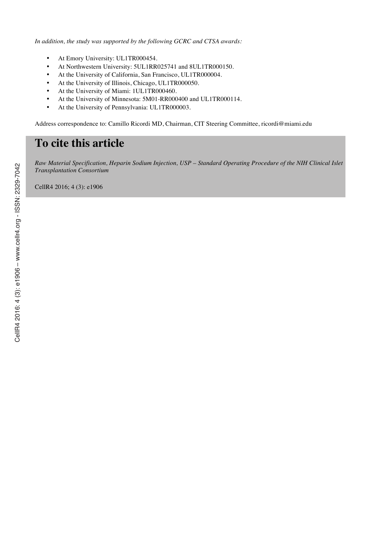*In addition, the study was supported by the following GCRC and CTSA awards:*

- At Emory University: UL1TR000454.
- At Northwestern University: 5UL1RR025741 and 8UL1TR000150.
- At the University of California, San Francisco, UL1TR000004.
- At the University of Illinois, Chicago, UL1TR000050.
- At the University of Miami: 1UL1TR000460.
- At the University of Minnesota: 5M01-RR000400 and UL1TR000114.
- At the University of Pennsylvania: UL1TR000003.

Address correspondence to: Camillo Ricordi MD, Chairman, CIT Steering Committee, ricordi@miami.edu

# **To cite this article**

*Raw Material Specification, Heparin Sodium Injection, USP – Standard Operating Procedure of the NIH Clinical Islet Transplantation Consortium*

CellR4 2016; 4 (3): e1906